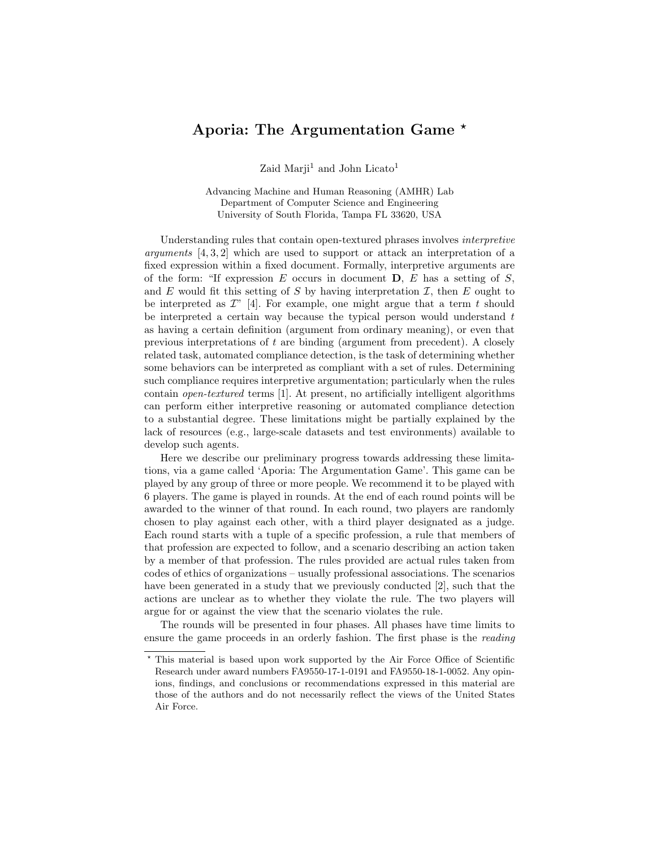# Aporia: The Argumentation Game \*

Zaid Marji<sup>1</sup> and John Licato<sup>1</sup>

Advancing Machine and Human Reasoning (AMHR) Lab Department of Computer Science and Engineering University of South Florida, Tampa FL 33620, USA

Understanding rules that contain open-textured phrases involves interpretive arguments [4, 3, 2] which are used to support or attack an interpretation of a fixed expression within a fixed document. Formally, interpretive arguments are of the form: "If expression  $E$  occurs in document  $D, E$  has a setting of  $S$ , and E would fit this setting of S by having interpretation  $\mathcal{I}$ , then E ought to be interpreted as  $\mathcal{I}''$  [4]. For example, one might argue that a term t should be interpreted a certain way because the typical person would understand  $t$ as having a certain definition (argument from ordinary meaning), or even that previous interpretations of  $t$  are binding (argument from precedent). A closely related task, automated compliance detection, is the task of determining whether some behaviors can be interpreted as compliant with a set of rules. Determining such compliance requires interpretive argumentation; particularly when the rules contain open-textured terms [1]. At present, no artificially intelligent algorithms can perform either interpretive reasoning or automated compliance detection to a substantial degree. These limitations might be partially explained by the lack of resources (e.g., large-scale datasets and test environments) available to develop such agents.

Here we describe our preliminary progress towards addressing these limitations, via a game called 'Aporia: The Argumentation Game'. This game can be played by any group of three or more people. We recommend it to be played with 6 players. The game is played in rounds. At the end of each round points will be awarded to the winner of that round. In each round, two players are randomly chosen to play against each other, with a third player designated as a judge. Each round starts with a tuple of a specific profession, a rule that members of that profession are expected to follow, and a scenario describing an action taken by a member of that profession. The rules provided are actual rules taken from codes of ethics of organizations – usually professional associations. The scenarios have been generated in a study that we previously conducted [2], such that the actions are unclear as to whether they violate the rule. The two players will argue for or against the view that the scenario violates the rule.

The rounds will be presented in four phases. All phases have time limits to ensure the game proceeds in an orderly fashion. The first phase is the reading

<sup>?</sup> This material is based upon work supported by the Air Force Office of Scientific Research under award numbers FA9550-17-1-0191 and FA9550-18-1-0052. Any opinions, findings, and conclusions or recommendations expressed in this material are those of the authors and do not necessarily reflect the views of the United States Air Force.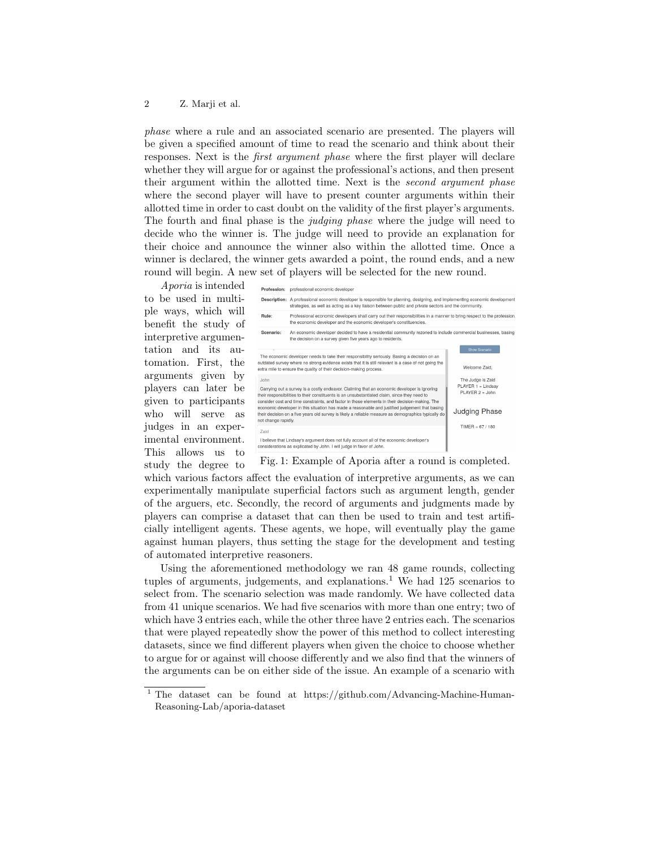#### 2 Z. Marji et al.

phase where a rule and an associated scenario are presented. The players will be given a specified amount of time to read the scenario and think about their responses. Next is the first argument phase where the first player will declare whether they will argue for or against the professional's actions, and then present their argument within the allotted time. Next is the second argument phase where the second player will have to present counter arguments within their allotted time in order to cast doubt on the validity of the first player's arguments. The fourth and final phase is the *judging phase* where the judge will need to decide who the winner is. The judge will need to provide an explanation for their choice and announce the winner also within the allotted time. Once a winner is declared, the winner gets awarded a point, the round ends, and a new round will begin. A new set of players will be selected for the new round.

Aporia is intended to be used in multiple ways, which will benefit the study of interpretive argumentation and its automation. First, the arguments given by players can later be given to participants who will serve as judges in an experimental environment. This allows us to study the degree to



Fig. 1: Example of Aporia after a round is completed.

which various factors affect the evaluation of interpretive arguments, as we can experimentally manipulate superficial factors such as argument length, gender of the arguers, etc. Secondly, the record of arguments and judgments made by players can comprise a dataset that can then be used to train and test artificially intelligent agents. These agents, we hope, will eventually play the game against human players, thus setting the stage for the development and testing of automated interpretive reasoners.

Using the aforementioned methodology we ran 48 game rounds, collecting tuples of arguments, judgements, and explanations.<sup>1</sup> We had  $125$  scenarios to select from. The scenario selection was made randomly. We have collected data from 41 unique scenarios. We had five scenarios with more than one entry; two of which have 3 entries each, while the other three have 2 entries each. The scenarios that were played repeatedly show the power of this method to collect interesting datasets, since we find different players when given the choice to choose whether to argue for or against will choose differently and we also find that the winners of the arguments can be on either side of the issue. An example of a scenario with

<sup>1</sup> The dataset can be found at https://github.com/Advancing-Machine-Human-Reasoning-Lab/aporia-dataset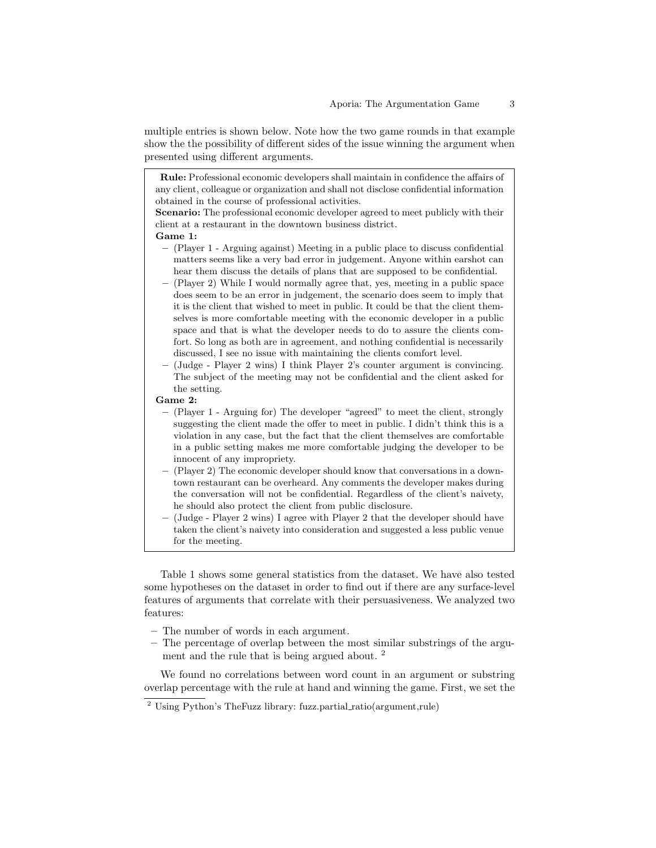multiple entries is shown below. Note how the two game rounds in that example show the the possibility of different sides of the issue winning the argument when presented using different arguments.

Rule: Professional economic developers shall maintain in confidence the affairs of any client, colleague or organization and shall not disclose confidential information obtained in the course of professional activities.

Scenario: The professional economic developer agreed to meet publicly with their client at a restaurant in the downtown business district.

### Game 1:

- (Player 1 Arguing against) Meeting in a public place to discuss confidential matters seems like a very bad error in judgement. Anyone within earshot can hear them discuss the details of plans that are supposed to be confidential.
- (Player 2) While I would normally agree that, yes, meeting in a public space does seem to be an error in judgement, the scenario does seem to imply that it is the client that wished to meet in public. It could be that the client themselves is more comfortable meeting with the economic developer in a public space and that is what the developer needs to do to assure the clients comfort. So long as both are in agreement, and nothing confidential is necessarily discussed, I see no issue with maintaining the clients comfort level.
- (Judge Player 2 wins) I think Player 2's counter argument is convincing. The subject of the meeting may not be confidential and the client asked for the setting.

#### Game 2:

- (Player 1 Arguing for) The developer "agreed" to meet the client, strongly suggesting the client made the offer to meet in public. I didn't think this is a violation in any case, but the fact that the client themselves are comfortable in a public setting makes me more comfortable judging the developer to be innocent of any impropriety.
- (Player 2) The economic developer should know that conversations in a downtown restaurant can be overheard. Any comments the developer makes during the conversation will not be confidential. Regardless of the client's naivety, he should also protect the client from public disclosure.
- (Judge Player 2 wins) I agree with Player 2 that the developer should have taken the client's naivety into consideration and suggested a less public venue for the meeting.

Table 1 shows some general statistics from the dataset. We have also tested some hypotheses on the dataset in order to find out if there are any surface-level features of arguments that correlate with their persuasiveness. We analyzed two features:

- The number of words in each argument.
- The percentage of overlap between the most similar substrings of the argument and the rule that is being argued about.<sup>2</sup>

We found no correlations between word count in an argument or substring overlap percentage with the rule at hand and winning the game. First, we set the

<sup>&</sup>lt;sup>2</sup> Using Python's TheFuzz library: fuzz.partial\_ratio(argument,rule)